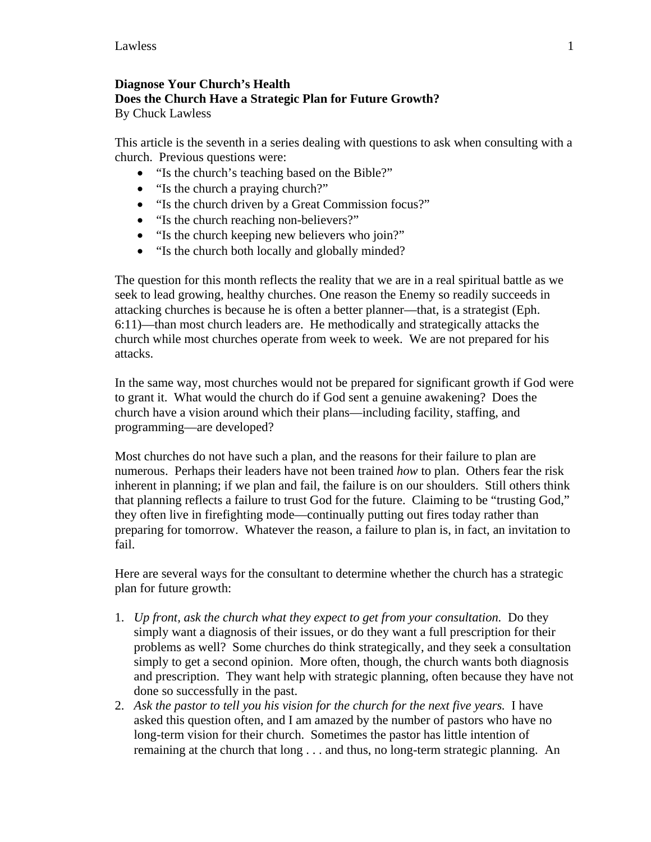## **Diagnose Your Church's Health Does the Church Have a Strategic Plan for Future Growth?**

By Chuck Lawless

This article is the seventh in a series dealing with questions to ask when consulting with a church. Previous questions were:

- "Is the church's teaching based on the Bible?"
- "Is the church a praying church?"
- "Is the church driven by a Great Commission focus?"
- "Is the church reaching non-believers?"
- "Is the church keeping new believers who join?"
- "Is the church both locally and globally minded?

The question for this month reflects the reality that we are in a real spiritual battle as we seek to lead growing, healthy churches. One reason the Enemy so readily succeeds in attacking churches is because he is often a better planner—that, is a strategist (Eph. 6:11)—than most church leaders are. He methodically and strategically attacks the church while most churches operate from week to week. We are not prepared for his attacks.

In the same way, most churches would not be prepared for significant growth if God were to grant it. What would the church do if God sent a genuine awakening? Does the church have a vision around which their plans—including facility, staffing, and programming—are developed?

Most churches do not have such a plan, and the reasons for their failure to plan are numerous. Perhaps their leaders have not been trained *how* to plan. Others fear the risk inherent in planning; if we plan and fail, the failure is on our shoulders. Still others think that planning reflects a failure to trust God for the future. Claiming to be "trusting God," they often live in firefighting mode—continually putting out fires today rather than preparing for tomorrow. Whatever the reason, a failure to plan is, in fact, an invitation to fail.

Here are several ways for the consultant to determine whether the church has a strategic plan for future growth:

- 1. *Up front, ask the church what they expect to get from your consultation.* Do they simply want a diagnosis of their issues, or do they want a full prescription for their problems as well? Some churches do think strategically, and they seek a consultation simply to get a second opinion. More often, though, the church wants both diagnosis and prescription. They want help with strategic planning, often because they have not done so successfully in the past.
- 2. *Ask the pastor to tell you his vision for the church for the next five years.* I have asked this question often, and I am amazed by the number of pastors who have no long-term vision for their church. Sometimes the pastor has little intention of remaining at the church that long . . . and thus, no long-term strategic planning. An